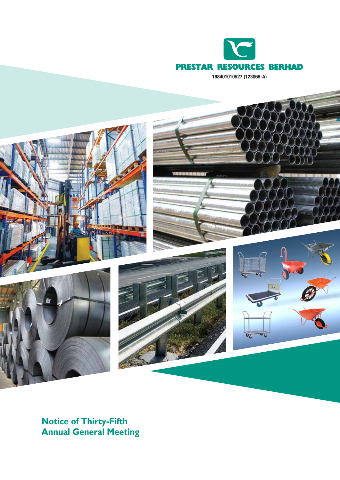

 $\mathbf{c}_L$ 

**Notice of Thirty-Fifth Annual General Meeting**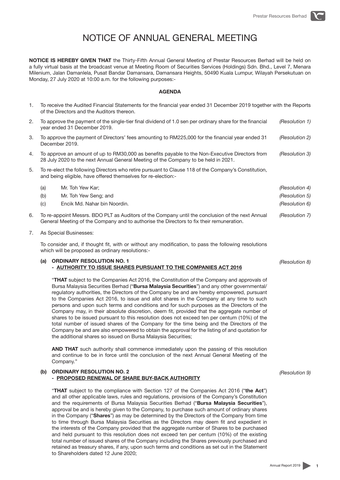# NOTICE OF ANNUAL GENERAL MEETING

**NOTICE IS HEREBY GIVEN THAT** the Thirty-Fifth Annual General Meeting of Prestar Resources Berhad will be held on a fully virtual basis at the broadcast venue at Meeting Room of Securities Services (Holdings) Sdn. Bhd., Level 7, Menara Milenium, Jalan Damanlela, Pusat Bandar Damansara, Damansara Heights, 50490 Kuala Lumpur, Wilayah Persekutuan on Monday, 27 July 2020 at 10:00 a.m. for the following purposes:-

## **AGENDA**

- 1. To receive the Audited Financial Statements for the financial year ended 31 December 2019 together with the Reports of the Directors and the Auditors thereon.
- 2. To approve the payment of the single-tier final dividend of 1.0 sen per ordinary share for the financial year ended 31 December 2019. *(Resolution 1)*
- 3. To approve the payment of Directors' fees amounting to RM225,000 for the financial year ended 31 December 2019. *(Resolution 2)*
- 4. To approve an amount of up to RM30,000 as benefits payable to the Non-Executive Directors from 28 July 2020 to the next Annual General Meeting of the Company to be held in 2021. *(Resolution 3)*
- 5. To re-elect the following Directors who retire pursuant to Clause 118 of the Company's Constitution, and being eligible, have offered themselves for re-election:-

| (a)                                                                                              | Mr. Toh Yew Kar:             | (Resolution 4) |
|--------------------------------------------------------------------------------------------------|------------------------------|----------------|
| (b)                                                                                              | Mr. Toh Yew Seng; and        | (Resolution 5) |
| (c)                                                                                              | Encik Md. Nahar bin Noordin. | (Resolution 6) |
| To re-appoint Messrs. BDO PLT as Auditors of the Company until the conclusion of the next Annual |                              | (Resolution 7) |

- 6. To re-appoint Messrs. BDO PLT as Auditors of the Company until the conclusion of the next Annual General Meeting of the Company and to authorise the Directors to fix their remuneration.
- 7. As Special Businesses:

To consider and, if thought fit, with or without any modification, to pass the following resolutions which will be proposed as ordinary resolutions:-

## **(a) ORDINARY RESOLUTION NO. 1 - AUTHORITY TO ISSUE SHARES PURSUANT TO THE COMPANIES ACT 2016**

"**THAT** subject to the Companies Act 2016, the Constitution of the Company and approvals of Bursa Malaysia Securities Berhad ("**Bursa Malaysia Securities**") and any other governmental/ regulatory authorities, the Directors of the Company be and are hereby empowered, pursuant to the Companies Act 2016, to issue and allot shares in the Company at any time to such persons and upon such terms and conditions and for such purposes as the Directors of the Company may, in their absolute discretion, deem fit, provided that the aggregate number of shares to be issued pursuant to this resolution does not exceed ten per centum (10%) of the total number of issued shares of the Company for the time being and the Directors of the Company be and are also empowered to obtain the approval for the listing of and quotation for the additional shares so issued on Bursa Malaysia Securities;

**AND THAT** such authority shall commence immediately upon the passing of this resolution and continue to be in force until the conclusion of the next Annual General Meeting of the Company."

## **(b) ORDINARY RESOLUTION NO. 2 - PROPOSED RENEWAL OF SHARE BUY-BACK AUTHORITY**

"**THAT** subject to the compliance with Section 127 of the Companies Act 2016 ("**the Act**") and all other applicable laws, rules and regulations, provisions of the Company's Constitution and the requirements of Bursa Malaysia Securities Berhad ("**Bursa Malaysia Securities**"), approval be and is hereby given to the Company, to purchase such amount of ordinary shares in the Company ("**Shares**") as may be determined by the Directors of the Company from time to time through Bursa Malaysia Securities as the Directors may deem fit and expedient in the interests of the Company provided that the aggregate number of Shares to be purchased and held pursuant to this resolution does not exceed ten per centum (10%) of the existing total number of issued shares of the Company including the Shares previously purchased and retained as treasury shares, if any, upon such terms and conditions as set out in the Statement to Shareholders dated 12 June 2020;

*(Resolution 8)*

*(Resolution 9)*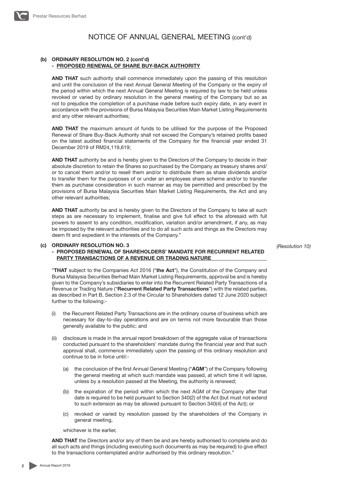

### **(b) ORDINARY RESOLUTION NO. 2 (cont'd) - PROPOSED RENEWAL OF SHARE BUY-BACK AUTHORITY**

**AND THAT** such authority shall commence immediately upon the passing of this resolution and until the conclusion of the next Annual General Meeting of the Company or the expiry of the period within which the next Annual General Meeting is required by law to be held unless revoked or varied by ordinary resolution in the general meeting of the Company but so as not to prejudice the completion of a purchase made before such expiry date, in any event in accordance with the provisions of Bursa Malaysia Securities Main Market Listing Requirements and any other relevant authorities;

**AND THAT** the maximum amount of funds to be utilised for the purpose of the Proposed Renewal of Share Buy-Back Authority shall not exceed the Company's retained profits based on the latest audited financial statements of the Company for the financial year ended 31 December 2019 of RM24,119,619;

**AND THAT** authority be and is hereby given to the Directors of the Company to decide in their absolute discretion to retain the Shares so purchased by the Company as treasury shares and/ or to cancel them and/or to resell them and/or to distribute them as share dividends and/or to transfer them for the purposes of or under an employees share scheme and/or to transfer them as purchase consideration in such manner as may be permitted and prescribed by the provisions of Bursa Malaysia Securities Main Market Listing Requirements, the Act and any other relevant authorities;

**AND THAT** authority be and is hereby given to the Directors of the Company to take all such steps as are necessary to implement, finalise and give full effect to the aforesaid with full powers to assent to any condition, modification, variation and/or amendment, if any, as may be imposed by the relevant authorities and to do all such acts and things as the Directors may deem fit and expedient in the interests of the Company."

*(Resolution 10)*

#### **(c) ORDINARY RESOLUTION NO. 3 - PROPOSED RENEWAL OF SHAREHOLDERS' MANDATE FOR RECURRENT RELATED PARTY TRANSACTIONS OF A REVENUE OR TRADING NATURE**

"**THAT** subject to the Companies Act 2016 ("**the Act**"), the Constitution of the Company and Bursa Malaysia Securities Berhad Main Market Listing Requirements, approval be and is hereby given to the Company's subsidiaries to enter into the Recurrent Related Party Transactions of a Revenue or Trading Nature ("**Recurrent Related Party Transactions**") with the related parties, as described in Part B, Section 2.3 of the Circular to Shareholders dated 12 June 2020 subject further to the following:-

- (i) the Recurrent Related Party Transactions are in the ordinary course of business which are necessary for day-to-day operations and are on terms not more favourable than those generally available to the public; and
- (ii) disclosure is made in the annual report breakdown of the aggregate value of transactions conducted pursuant to the shareholders' mandate during the financial year and that such approval shall, commence immediately upon the passing of this ordinary resolution and continue to be in force until:-
	- (a) the conclusion of the first Annual General Meeting ("**AGM**") of the Company following the general meeting at which such mandate was passed, at which time it will lapse, unless by a resolution passed at the Meeting, the authority is renewed;
	- (b) the expiration of the period within which the next AGM of the Company after that date is required to be held pursuant to Section 340(2) of the Act (but must not extend to such extension as may be allowed pursuant to Section 340(4) of the Act); or
	- revoked or varied by resolution passed by the shareholders of the Company in general meeting,

whichever is the earlier,

**AND THAT** the Directors and/or any of them be and are hereby authorised to complete and do all such acts and things (including executing such documents as may be required) to give effect to the transactions contemplated and/or authorised by this ordinary resolution."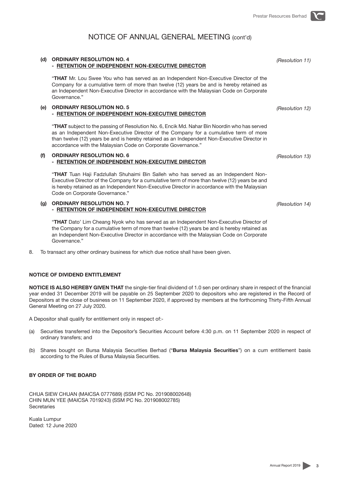## NOTICE OF ANNUAL GENERAL MEETING (cont'd)

# **- RETENTION OF INDEPENDENT NON-EXECUTIVE DIRECTOR**

"**THAT** Mr. Lou Swee You who has served as an Independent Non-Executive Director of the Company for a cumulative term of more than twelve (12) years be and is hereby retained as an Independent Non-Executive Director in accordance with the Malaysian Code on Corporate Governance."

## **(e) ORDINARY RESOLUTION NO. 5 - RETENTION OF INDEPENDENT NON-EXECUTIVE DIRECTOR**

**(d) ORDINARY RESOLUTION NO. 4**

"**THAT** subject to the passing of Resolution No. 6, Encik Md. Nahar Bin Noordin who has served as an Independent Non-Executive Director of the Company for a cumulative term of more than twelve (12) years be and is hereby retained as an Independent Non-Executive Director in accordance with the Malaysian Code on Corporate Governance."

## **(f) ORDINARY RESOLUTION NO. 6 - RETENTION OF INDEPENDENT NON-EXECUTIVE DIRECTOR**

"**THAT** Tuan Haji Fadzlullah Shuhaimi Bin Salleh who has served as an Independent Non-Executive Director of the Company for a cumulative term of more than twelve (12) years be and is hereby retained as an Independent Non-Executive Director in accordance with the Malaysian Code on Corporate Governance."

## **(g) ORDINARY RESOLUTION NO. 7 - RETENTION OF INDEPENDENT NON-EXECUTIVE DIRECTOR**

"**THAT** Dato' Lim Cheang Nyok who has served as an Independent Non-Executive Director of the Company for a cumulative term of more than twelve (12) years be and is hereby retained as an Independent Non-Executive Director in accordance with the Malaysian Code on Corporate Governance."

8. To transact any other ordinary business for which due notice shall have been given.

### **NOTICE OF DIVIDEND ENTITLEMENT**

**NOTICE IS ALSO HEREBY GIVEN THAT** the single-tier final dividend of 1.0 sen per ordinary share in respect of the financial year ended 31 December 2019 will be payable on 25 September 2020 to depositors who are registered in the Record of Depositors at the close of business on 11 September 2020, if approved by members at the forthcoming Thirty-Fifth Annual General Meeting on 27 July 2020.

A Depositor shall qualify for entitlement only in respect of:-

- (a) Securities transferred into the Depositor's Securities Account before 4:30 p.m. on 11 September 2020 in respect of ordinary transfers; and
- (b) Shares bought on Bursa Malaysia Securities Berhad ("**Bursa Malaysia Securities**") on a cum entitlement basis according to the Rules of Bursa Malaysia Securities.

## **BY ORDER OF THE BOARD**

CHUA SIEW CHUAN (MAICSA 0777689) (SSM PC No. 201908002648) CHIN MUN YEE (MAICSA 7019243) (SSM PC No. 201908002785) **Secretaries** 

Kuala Lumpur Dated: 12 June 2020 *(Resolution 11)*

*(Resolution 12)*

*(Resolution 13)*

*(Resolution 14)*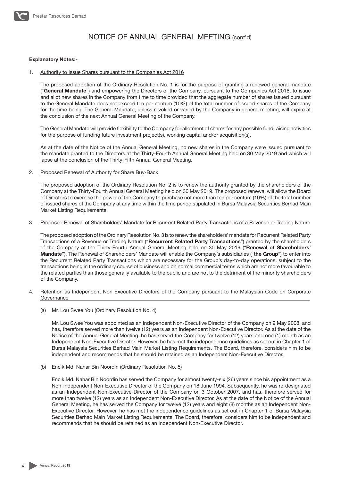

# NOTICE OF ANNUAL GENERAL MEETING (cont'd)

#### **Explanatory Notes:-**

#### 1. Authority to Issue Shares pursuant to the Companies Act 2016

The proposed adoption of the Ordinary Resolution No. 1 is for the purpose of granting a renewed general mandate ("**General Mandate**") and empowering the Directors of the Company, pursuant to the Companies Act 2016, to issue and allot new shares in the Company from time to time provided that the aggregate number of shares issued pursuant to the General Mandate does not exceed ten per centum (10%) of the total number of issued shares of the Company for the time being. The General Mandate, unless revoked or varied by the Company in general meeting, will expire at the conclusion of the next Annual General Meeting of the Company.

The General Mandate will provide flexibility to the Company for allotment of shares for any possible fund raising activities for the purpose of funding future investment project(s), working capital and/or acquisition(s).

As at the date of the Notice of the Annual General Meeting, no new shares in the Company were issued pursuant to the mandate granted to the Directors at the Thirty-Fourth Annual General Meeting held on 30 May 2019 and which will lapse at the conclusion of the Thirty-Fifth Annual General Meeting.

2. Proposed Renewal of Authority for Share Buy-Back

The proposed adoption of the Ordinary Resolution No. 2 is to renew the authority granted by the shareholders of the Company at the Thirty-Fourth Annual General Meeting held on 30 May 2019. The proposed renewal will allow the Board of Directors to exercise the power of the Company to purchase not more than ten per centum (10%) of the total number of issued shares of the Company at any time within the time period stipulated in Bursa Malaysia Securities Berhad Main Market Listing Requirements.

#### 3. Proposed Renewal of Shareholders' Mandate for Recurrent Related Party Transactions of a Revenue or Trading Nature

The proposed adoption of the Ordinary Resolution No. 3 is to renew the shareholders' mandate for Recurrent Related Party Transactions of a Revenue or Trading Nature ("**Recurrent Related Party Transactions**") granted by the shareholders of the Company at the Thirty-Fourth Annual General Meeting held on 30 May 2019 ("**Renewal of Shareholders' Mandate**"). The Renewal of Shareholders' Mandate will enable the Company's subsidiaries ("**the Group**") to enter into the Recurrent Related Party Transactions which are necessary for the Group's day-to-day operations, subject to the transactions being in the ordinary course of business and on normal commercial terms which are not more favourable to the related parties than those generally available to the public and are not to the detriment of the minority shareholders of the Company.

- 4. Retention as Independent Non-Executive Directors of the Company pursuant to the Malaysian Code on Corporate **Governance** 
	- (a) Mr. Lou Swee You (Ordinary Resolution No. 4)

Mr. Lou Swee You was appointed as an Independent Non-Executive Director of the Company on 9 May 2008, and has, therefore served more than twelve (12) years as an Independent Non-Executive Director. As at the date of the Notice of the Annual General Meeting, he has served the Company for twelve (12) years and one (1) month as an Independent Non-Executive Director. However, he has met the independence guidelines as set out in Chapter 1 of Bursa Malaysia Securities Berhad Main Market Listing Requirements. The Board, therefore, considers him to be independent and recommends that he should be retained as an Independent Non-Executive Director.

(b) Encik Md. Nahar Bin Noordin (Ordinary Resolution No. 5)

Encik Md. Nahar Bin Noordin has served the Company for almost twenty-six (26) years since his appointment as a Non-Independent Non-Executive Director of the Company on 18 June 1994. Subsequently, he was re-designated as an Independent Non-Executive Director of the Company on 3 October 2007, and has, therefore served for more than twelve (12) years as an Independent Non-Executive Director. As at the date of the Notice of the Annual General Meeting, he has served the Company for twelve (12) years and eight (8) months as an Independent Non-Executive Director. However, he has met the independence guidelines as set out in Chapter 1 of Bursa Malaysia Securities Berhad Main Market Listing Requirements. The Board, therefore, considers him to be independent and recommends that he should be retained as an Independent Non-Executive Director.